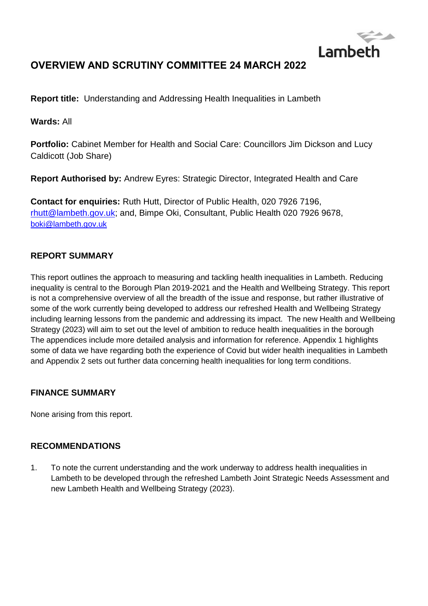

# **OVERVIEW AND SCRUTINY COMMITTEE 24 MARCH 2022**

**Report title:** Understanding and Addressing Health Inequalities in Lambeth

**Wards:** All

**Portfolio:** Cabinet Member for Health and Social Care: Councillors Jim Dickson and Lucy Caldicott (Job Share)

**Report Authorised by:** Andrew Eyres: Strategic Director, Integrated Health and Care

**Contact for enquiries:** Ruth Hutt, Director of Public Health, 020 7926 7196, [rhutt@lambeth.gov.uk;](mailto:rhutt@lambeth.gov.uk) and, Bimpe Oki, Consultant, Public Health 020 7926 9678, [boki@lambeth.gov.uk](mailto:boki@lambeth.gov.uk)

# **REPORT SUMMARY**

This report outlines the approach to measuring and tackling health inequalities in Lambeth. Reducing inequality is central to the Borough Plan 2019-2021 and the Health and Wellbeing Strategy. This report is not a comprehensive overview of all the breadth of the issue and response, but rather illustrative of some of the work currently being developed to address our refreshed Health and Wellbeing Strategy including learning lessons from the pandemic and addressing its impact. The new Health and Wellbeing Strategy (2023) will aim to set out the level of ambition to reduce health inequalities in the borough The appendices include more detailed analysis and information for reference. Appendix 1 highlights some of data we have regarding both the experience of Covid but wider health inequalities in Lambeth and Appendix 2 sets out further data concerning health inequalities for long term conditions.

# **FINANCE SUMMARY**

None arising from this report.

# **RECOMMENDATIONS**

1. To note the current understanding and the work underway to address health inequalities in Lambeth to be developed through the refreshed Lambeth Joint Strategic Needs Assessment and new Lambeth Health and Wellbeing Strategy (2023).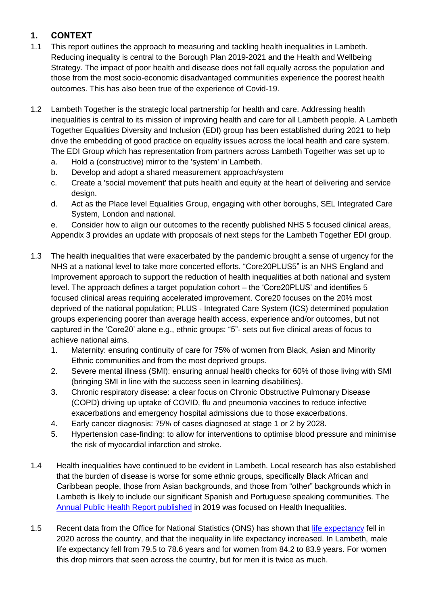# **1. CONTEXT**

- 1.1 This report outlines the approach to measuring and tackling health inequalities in Lambeth. Reducing inequality is central to the Borough Plan 2019-2021 and the Health and Wellbeing Strategy. The impact of poor health and disease does not fall equally across the population and those from the most socio-economic disadvantaged communities experience the poorest health outcomes. This has also been true of the experience of Covid-19.
- 1.2 Lambeth Together is the strategic local partnership for health and care. Addressing health inequalities is central to its mission of improving health and care for all Lambeth people. A Lambeth Together Equalities Diversity and Inclusion (EDI) group has been established during 2021 to help drive the embedding of good practice on equality issues across the local health and care system. The EDI Group which has representation from partners across Lambeth Together was set up to
	- a. Hold a (constructive) mirror to the 'system' in Lambeth.
	- b. Develop and adopt a shared measurement approach/system
	- c. Create a 'social movement' that puts health and equity at the heart of delivering and service design.
	- d. Act as the Place level Equalities Group, engaging with other boroughs, SEL Integrated Care System, London and national.
	- e. Consider how to align our outcomes to the recently published NHS 5 focused clinical areas, Appendix 3 provides an update with proposals of next steps for the Lambeth Together EDI group.
- 1.3 The health inequalities that were exacerbated by the pandemic brought a sense of urgency for the NHS at a national level to take more concerted efforts. "Core20PLUS5" is an NHS England and Improvement approach to support the reduction of health inequalities at both national and system level. The approach defines a target population cohort – the 'Core20PLUS' and identifies 5 focused clinical areas requiring accelerated improvement. Core20 focuses on the 20% most deprived of the national population; PLUS - Integrated Care System (ICS) determined population groups experiencing poorer than average health access, experience and/or outcomes, but not captured in the 'Core20' alone e.g., ethnic groups: "5"- sets out five clinical areas of focus to achieve national aims.
	- 1. Maternity: ensuring continuity of care for 75% of women from Black, Asian and Minority Ethnic communities and from the most deprived groups.
	- 2. Severe mental illness (SMI): ensuring annual health checks for 60% of those living with SMI (bringing SMI in line with the success seen in learning disabilities).
	- 3. Chronic respiratory disease: a clear focus on Chronic Obstructive Pulmonary Disease (COPD) driving up uptake of COVID, flu and pneumonia vaccines to reduce infective exacerbations and emergency hospital admissions due to those exacerbations.
	- 4. Early cancer diagnosis: 75% of cases diagnosed at stage 1 or 2 by 2028.
	- 5. Hypertension case-finding: to allow for interventions to optimise blood pressure and minimise the risk of myocardial infarction and stroke.
- 1.4 Health inequalities have continued to be evident in Lambeth. Local research has also established that the burden of disease is worse for some ethnic groups, specifically Black African and Caribbean people, those from Asian backgrounds, and those from "other" backgrounds which in Lambeth is likely to include our significant Spanish and Portuguese speaking communities. The [Annual Public Health Report published](https://moderngov.lambeth.gov.uk/documents/s106892/05b%20Lambeth%20APHR%20web%20final%20v2.pdf) in 2019 was focused on Health Inequalities.
- 1.5 Recent data from the Office for National Statistics (ONS) has shown that [life expectancy](https://www.ons.gov.uk/peoplepopulationandcommunity/birthsdeathsandmarriages/lifeexpectancies/bulletins/nationallifetablesunitedkingdom/2018to2020#:~:text=Life%20expectancy%20at%20birth%20in%20the%20UK%20in%202018%20to,period%20of%202015%20to%202017) fell in 2020 across the country, and that the inequality in life expectancy increased. In Lambeth, male life expectancy fell from 79.5 to 78.6 years and for women from 84.2 to 83.9 years. For women this drop mirrors that seen across the country, but for men it is twice as much.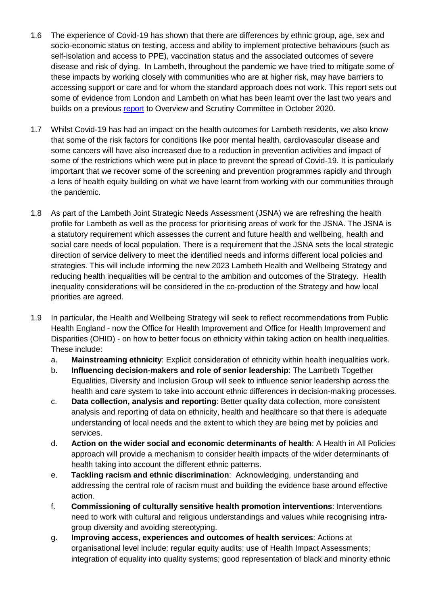- 1.6 The experience of Covid-19 has shown that there are differences by ethnic group, age, sex and socio-economic status on testing, access and ability to implement protective behaviours (such as self-isolation and access to PPE), vaccination status and the associated outcomes of severe disease and risk of dying. In Lambeth, throughout the pandemic we have tried to mitigate some of these impacts by working closely with communities who are at higher risk, may have barriers to accessing support or care and for whom the standard approach does not work. This report sets out some of evidence from London and Lambeth on what has been learnt over the last two years and builds on a previous [report](https://moderngov.lambeth.gov.uk/documents/s121112/03a%20OSC%2020201020%20C19Lessons%20FINAL.pdf) to Overview and Scrutiny Committee in October 2020.
- 1.7 Whilst Covid-19 has had an impact on the health outcomes for Lambeth residents, we also know that some of the risk factors for conditions like poor mental health, cardiovascular disease and some cancers will have also increased due to a reduction in prevention activities and impact of some of the restrictions which were put in place to prevent the spread of Covid-19. It is particularly important that we recover some of the screening and prevention programmes rapidly and through a lens of health equity building on what we have learnt from working with our communities through the pandemic.
- 1.8 As part of the Lambeth Joint Strategic Needs Assessment (JSNA) we are refreshing the health profile for Lambeth as well as the process for prioritising areas of work for the JSNA. The JSNA is a statutory requirement which assesses the current and future health and wellbeing, health and social care needs of local population. There is a requirement that the JSNA sets the local strategic direction of service delivery to meet the identified needs and informs different local policies and strategies. This will include informing the new 2023 Lambeth Health and Wellbeing Strategy and reducing health inequalities will be central to the ambition and outcomes of the Strategy. Health inequality considerations will be considered in the co-production of the Strategy and how local priorities are agreed.
- 1.9 In particular, the Health and Wellbeing Strategy will seek to reflect recommendations from Public Health England - now the Office for Health Improvement and Office for Health Improvement and Disparities (OHID) - on how to better focus on ethnicity within taking action on health inequalities. These include:
	- a. **Mainstreaming ethnicity**: Explicit consideration of ethnicity within health inequalities work.
	- b. **Influencing decision-makers and role of senior leadership**: The Lambeth Together Equalities, Diversity and Inclusion Group will seek to influence senior leadership across the health and care system to take into account ethnic differences in decision-making processes.
	- c. **Data collection, analysis and reporting**: Better quality data collection, more consistent analysis and reporting of data on ethnicity, health and healthcare so that there is adequate understanding of local needs and the extent to which they are being met by policies and services.
	- d. **Action on the wider social and economic determinants of health**: A Health in All Policies approach will provide a mechanism to consider health impacts of the wider determinants of health taking into account the different ethnic patterns.
	- e. **Tackling racism and ethnic discrimination**: Acknowledging, understanding and addressing the central role of racism must and building the evidence base around effective action.
	- f. **Commissioning of culturally sensitive health promotion interventions**: Interventions need to work with cultural and religious understandings and values while recognising intragroup diversity and avoiding stereotyping.
	- g. **Improving access, experiences and outcomes of health services**: Actions at organisational level include: regular equity audits; use of Health Impact Assessments; integration of equality into quality systems; good representation of black and minority ethnic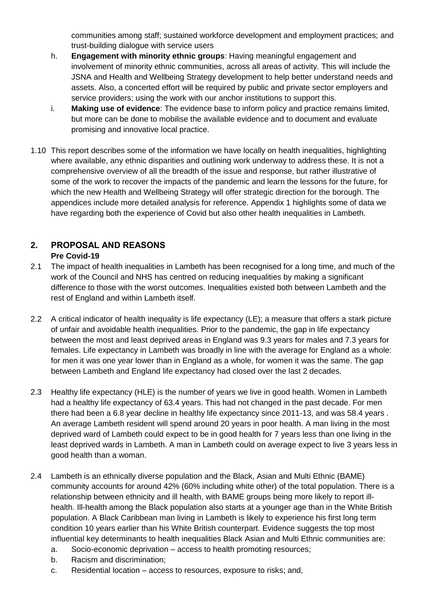communities among staff; sustained workforce development and employment practices; and trust-building dialogue with service users

- h. **Engagement with minority ethnic groups**: Having meaningful engagement and involvement of minority ethnic communities, across all areas of activity. This will include the JSNA and Health and Wellbeing Strategy development to help better understand needs and assets. Also, a concerted effort will be required by public and private sector employers and service providers; using the work with our anchor institutions to support this.
- i. **Making use of evidence**: The evidence base to inform policy and practice remains limited, but more can be done to mobilise the available evidence and to document and evaluate promising and innovative local practice.
- 1.10 This report describes some of the information we have locally on health inequalities, highlighting where available, any ethnic disparities and outlining work underway to address these. It is not a comprehensive overview of all the breadth of the issue and response, but rather illustrative of some of the work to recover the impacts of the pandemic and learn the lessons for the future, for which the new Health and Wellbeing Strategy will offer strategic direction for the borough. The appendices include more detailed analysis for reference. Appendix 1 highlights some of data we have regarding both the experience of Covid but also other health inequalities in Lambeth.

# **2. PROPOSAL AND REASONS Pre Covid-19**

- 2.1 The impact of health inequalities in Lambeth has been recognised for a long time, and much of the work of the Council and NHS has centred on reducing inequalities by making a significant difference to those with the worst outcomes. Inequalities existed both between Lambeth and the rest of England and within Lambeth itself.
- 2.2 A critical indicator of health inequality is life expectancy (LE); a measure that offers a stark picture of unfair and avoidable health inequalities. Prior to the pandemic, the gap in life expectancy between the most and least deprived areas in England was 9.3 years for males and 7.3 years for females. Life expectancy in Lambeth was broadly in line with the average for England as a whole: for men it was one year lower than in England as a whole, for women it was the same. The gap between Lambeth and England life expectancy had closed over the last 2 decades.
- 2.3 Healthy life expectancy (HLE) is the number of years we live in good health. Women in Lambeth had a healthy life expectancy of 63.4 years. This had not changed in the past decade. For men there had been a 6.8 year decline in healthy life expectancy since 2011-13, and was 58.4 years . An average Lambeth resident will spend around 20 years in poor health. A man living in the most deprived ward of Lambeth could expect to be in good health for 7 years less than one living in the least deprived wards in Lambeth. A man in Lambeth could on average expect to live 3 years less in good health than a woman.
- 2.4 Lambeth is an ethnically diverse population and the Black, Asian and Multi Ethnic (BAME) community accounts for around 42% (60% including white other) of the total population. There is a relationship between ethnicity and ill health, with BAME groups being more likely to report illhealth. Ill-health among the Black population also starts at a younger age than in the White British population. A Black Caribbean man living in Lambeth is likely to experience his first long term condition 10 years earlier than his White British counterpart. Evidence suggests the top most influential key determinants to health inequalities Black Asian and Multi Ethnic communities are:
	- a. Socio-economic deprivation access to health promoting resources;
	- b. Racism and discrimination;
	- c. Residential location access to resources, exposure to risks; and,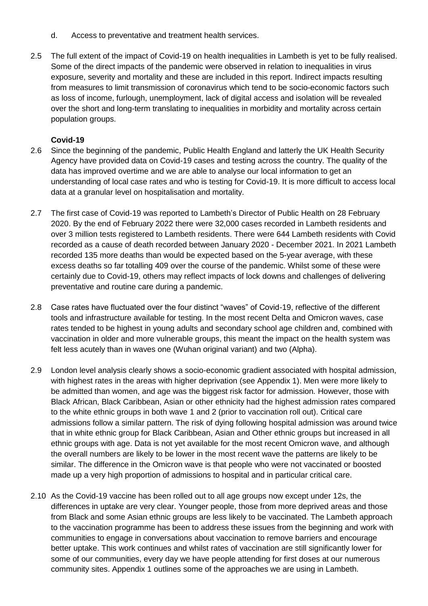- d. Access to preventative and treatment health services.
- 2.5 The full extent of the impact of Covid-19 on health inequalities in Lambeth is yet to be fully realised. Some of the direct impacts of the pandemic were observed in relation to inequalities in virus exposure, severity and mortality and these are included in this report. Indirect impacts resulting from measures to limit transmission of coronavirus which tend to be socio-economic factors such as loss of income, furlough, unemployment, lack of digital access and isolation will be revealed over the short and long-term translating to inequalities in morbidity and mortality across certain population groups.

# **Covid-19**

- 2.6 Since the beginning of the pandemic, Public Health England and latterly the UK Health Security Agency have provided data on Covid-19 cases and testing across the country. The quality of the data has improved overtime and we are able to analyse our local information to get an understanding of local case rates and who is testing for Covid-19. It is more difficult to access local data at a granular level on hospitalisation and mortality.
- 2.7 The first case of Covid-19 was reported to Lambeth's Director of Public Health on 28 February 2020. By the end of February 2022 there were 32,000 cases recorded in Lambeth residents and over 3 million tests registered to Lambeth residents. There were 644 Lambeth residents with Covid recorded as a cause of death recorded between January 2020 - December 2021. In 2021 Lambeth recorded 135 more deaths than would be expected based on the 5-year average, with these excess deaths so far totalling 409 over the course of the pandemic. Whilst some of these were certainly due to Covid-19, others may reflect impacts of lock downs and challenges of delivering preventative and routine care during a pandemic.
- 2.8 Case rates have fluctuated over the four distinct "waves" of Covid-19, reflective of the different tools and infrastructure available for testing. In the most recent Delta and Omicron waves, case rates tended to be highest in young adults and secondary school age children and, combined with vaccination in older and more vulnerable groups, this meant the impact on the health system was felt less acutely than in waves one (Wuhan original variant) and two (Alpha).
- 2.9 London level analysis clearly shows a socio-economic gradient associated with hospital admission, with highest rates in the areas with higher deprivation (see Appendix 1). Men were more likely to be admitted than women, and age was the biggest risk factor for admission. However, those with Black African, Black Caribbean, Asian or other ethnicity had the highest admission rates compared to the white ethnic groups in both wave 1 and 2 (prior to vaccination roll out). Critical care admissions follow a similar pattern. The risk of dying following hospital admission was around twice that in white ethnic group for Black Caribbean, Asian and Other ethnic groups but increased in all ethnic groups with age. Data is not yet available for the most recent Omicron wave, and although the overall numbers are likely to be lower in the most recent wave the patterns are likely to be similar. The difference in the Omicron wave is that people who were not vaccinated or boosted made up a very high proportion of admissions to hospital and in particular critical care.
- 2.10 As the Covid-19 vaccine has been rolled out to all age groups now except under 12s, the differences in uptake are very clear. Younger people, those from more deprived areas and those from Black and some Asian ethnic groups are less likely to be vaccinated. The Lambeth approach to the vaccination programme has been to address these issues from the beginning and work with communities to engage in conversations about vaccination to remove barriers and encourage better uptake. This work continues and whilst rates of vaccination are still significantly lower for some of our communities, every day we have people attending for first doses at our numerous community sites. Appendix 1 outlines some of the approaches we are using in Lambeth.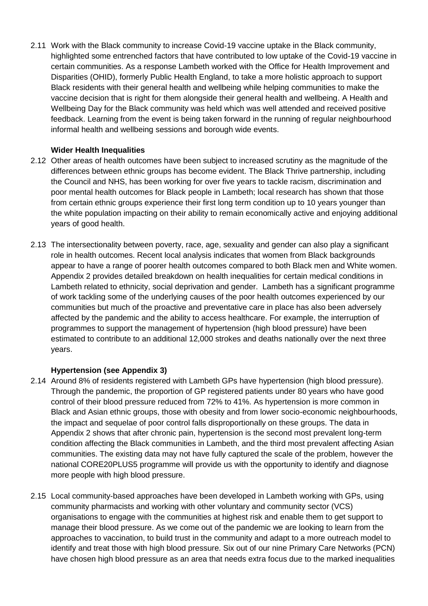2.11 Work with the Black community to increase Covid-19 vaccine uptake in the Black community, highlighted some entrenched factors that have contributed to low uptake of the Covid-19 vaccine in certain communities. As a response Lambeth worked with the Office for Health Improvement and Disparities (OHID), formerly Public Health England, to take a more holistic approach to support Black residents with their general health and wellbeing while helping communities to make the vaccine decision that is right for them alongside their general health and wellbeing. A Health and Wellbeing Day for the Black community was held which was well attended and received positive feedback. Learning from the event is being taken forward in the running of regular neighbourhood informal health and wellbeing sessions and borough wide events.

#### **Wider Health Inequalities**

- 2.12 Other areas of health outcomes have been subject to increased scrutiny as the magnitude of the differences between ethnic groups has become evident. The Black Thrive partnership, including the Council and NHS, has been working for over five years to tackle racism, discrimination and poor mental health outcomes for Black people in Lambeth; local research has shown that those from certain ethnic groups experience their first long term condition up to 10 years younger than the white population impacting on their ability to remain economically active and enjoying additional years of good health.
- 2.13 The intersectionality between poverty, race, age, sexuality and gender can also play a significant role in health outcomes. Recent local analysis indicates that women from Black backgrounds appear to have a range of poorer health outcomes compared to both Black men and White women. Appendix 2 provides detailed breakdown on health inequalities for certain medical conditions in Lambeth related to ethnicity, social deprivation and gender. Lambeth has a significant programme of work tackling some of the underlying causes of the poor health outcomes experienced by our communities but much of the proactive and preventative care in place has also been adversely affected by the pandemic and the ability to access healthcare. For example, the interruption of programmes to support the management of hypertension (high blood pressure) have been estimated to contribute to an additional 12,000 strokes and deaths nationally over the next three years.

# **Hypertension (see Appendix 3)**

- 2.14 Around 8% of residents registered with Lambeth GPs have hypertension (high blood pressure). Through the pandemic, the proportion of GP registered patients under 80 years who have good control of their blood pressure reduced from 72% to 41%. As hypertension is more common in Black and Asian ethnic groups, those with obesity and from lower socio-economic neighbourhoods, the impact and sequelae of poor control falls disproportionally on these groups. The data in Appendix 2 shows that after chronic pain, hypertension is the second most prevalent long-term condition affecting the Black communities in Lambeth, and the third most prevalent affecting Asian communities. The existing data may not have fully captured the scale of the problem, however the national CORE20PLUS5 programme will provide us with the opportunity to identify and diagnose more people with high blood pressure.
- 2.15 Local community-based approaches have been developed in Lambeth working with GPs, using community pharmacists and working with other voluntary and community sector (VCS) organisations to engage with the communities at highest risk and enable them to get support to manage their blood pressure. As we come out of the pandemic we are looking to learn from the approaches to vaccination, to build trust in the community and adapt to a more outreach model to identify and treat those with high blood pressure. Six out of our nine Primary Care Networks (PCN) have chosen high blood pressure as an area that needs extra focus due to the marked inequalities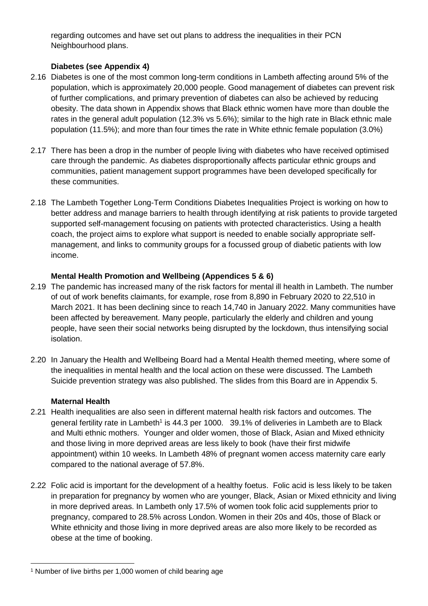regarding outcomes and have set out plans to address the inequalities in their PCN Neighbourhood plans.

# **Diabetes (see Appendix 4)**

- 2.16 Diabetes is one of the most common long-term conditions in Lambeth affecting around 5% of the population, which is approximately 20,000 people. Good management of diabetes can prevent risk of further complications, and primary prevention of diabetes can also be achieved by reducing obesity. The data shown in Appendix shows that Black ethnic women have more than double the rates in the general adult population (12.3% vs 5.6%); similar to the high rate in Black ethnic male population (11.5%); and more than four times the rate in White ethnic female population (3.0%)
- 2.17 There has been a drop in the number of people living with diabetes who have received optimised care through the pandemic. As diabetes disproportionally affects particular ethnic groups and communities, patient management support programmes have been developed specifically for these communities.
- 2.18 The Lambeth Together Long-Term Conditions Diabetes Inequalities Project is working on how to better address and manage barriers to health through identifying at risk patients to provide targeted supported self-management focusing on patients with protected characteristics. Using a health coach, the project aims to explore what support is needed to enable socially appropriate selfmanagement, and links to community groups for a focussed group of diabetic patients with low income.

# **Mental Health Promotion and Wellbeing (Appendices 5 & 6)**

- 2.19 The pandemic has increased many of the risk factors for mental ill health in Lambeth. The number of out of work benefits claimants, for example, rose from 8,890 in February 2020 to 22,510 in March 2021. It has been declining since to reach 14,740 in January 2022. Many communities have been affected by bereavement. Many people, particularly the elderly and children and young people, have seen their social networks being disrupted by the lockdown, thus intensifying social isolation.
- 2.20 In January the Health and Wellbeing Board had a Mental Health themed meeting, where some of the inequalities in mental health and the local action on these were discussed. The Lambeth Suicide prevention strategy was also published. The slides from this Board are in Appendix 5.

# **Maternal Health**

- 2.21 Health inequalities are also seen in different maternal health risk factors and outcomes. The general fertility rate in Lambeth<sup>1</sup> is 44.3 per 1000. 39.1% of deliveries in Lambeth are to Black and Multi ethnic mothers. Younger and older women, those of Black, Asian and Mixed ethnicity and those living in more deprived areas are less likely to book (have their first midwife appointment) within 10 weeks. In Lambeth 48% of pregnant women access maternity care early compared to the national average of 57.8%.
- 2.22 Folic acid is important for the development of a healthy foetus. Folic acid is less likely to be taken in preparation for pregnancy by women who are younger, Black, Asian or Mixed ethnicity and living in more deprived areas. In Lambeth only 17.5% of women took folic acid supplements prior to pregnancy, compared to 28.5% across London. Women in their 20s and 40s, those of Black or White ethnicity and those living in more deprived areas are also more likely to be recorded as obese at the time of booking.

 $\overline{a}$ <sup>1</sup> Number of live births per 1,000 women of child bearing age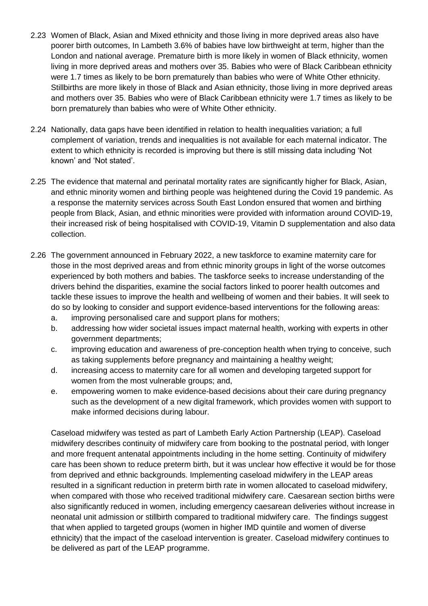- 2.23 Women of Black, Asian and Mixed ethnicity and those living in more deprived areas also have poorer birth outcomes, In Lambeth 3.6% of babies have low birthweight at term, higher than the London and national average. Premature birth is more likely in women of Black ethnicity, women living in more deprived areas and mothers over 35. Babies who were of Black Caribbean ethnicity were 1.7 times as likely to be born prematurely than babies who were of White Other ethnicity. Stillbirths are more likely in those of Black and Asian ethnicity, those living in more deprived areas and mothers over 35. Babies who were of Black Caribbean ethnicity were 1.7 times as likely to be born prematurely than babies who were of White Other ethnicity.
- 2.24 Nationally, data gaps have been identified in relation to health inequalities variation; a full complement of variation, trends and inequalities is not available for each maternal indicator. The extent to which ethnicity is recorded is improving but there is still missing data including 'Not known' and 'Not stated'.
- 2.25 The evidence that maternal and perinatal mortality rates are significantly higher for Black, Asian, and ethnic minority women and birthing people was heightened during the Covid 19 pandemic. As a response the maternity services across South East London ensured that women and birthing people from Black, Asian, and ethnic minorities were provided with information around COVID-19, their increased risk of being hospitalised with COVID-19, Vitamin D supplementation and also data collection.
- 2.26 The government announced in February 2022, a new taskforce to examine maternity care for those in the most deprived areas and from ethnic minority groups in light of the worse outcomes experienced by both mothers and babies. The taskforce seeks to increase understanding of the drivers behind the disparities, examine the social factors linked to poorer health outcomes and tackle these issues to improve the health and wellbeing of women and their babies. It will seek to do so by looking to consider and support evidence-based interventions for the following areas:
	- a. improving personalised care and support plans for mothers;
	- b. addressing how wider societal issues impact maternal health, working with experts in other government departments;
	- c. improving education and awareness of pre-conception health when trying to conceive, such as taking supplements before pregnancy and maintaining a healthy weight;
	- d. increasing access to maternity care for all women and developing targeted support for women from the most vulnerable groups; and,
	- e. empowering women to make evidence-based decisions about their care during pregnancy such as the development of a new digital framework, which provides women with support to make informed decisions during labour.

Caseload midwifery was tested as part of Lambeth Early Action Partnership (LEAP). Caseload midwifery describes continuity of midwifery care from booking to the postnatal period, with longer and more frequent antenatal appointments including in the home setting. Continuity of midwifery care has been shown to reduce preterm birth, but it was unclear how effective it would be for those from deprived and ethnic backgrounds. Implementing caseload midwifery in the LEAP areas resulted in a significant reduction in preterm birth rate in women allocated to caseload midwifery, when compared with those who received traditional midwifery care. Caesarean section births were also significantly reduced in women, including emergency caesarean deliveries without increase in neonatal unit admission or stillbirth compared to traditional midwifery care. The findings suggest that when applied to targeted groups (women in higher IMD quintile and women of diverse ethnicity) that the impact of the caseload intervention is greater. Caseload midwifery continues to be delivered as part of the LEAP programme.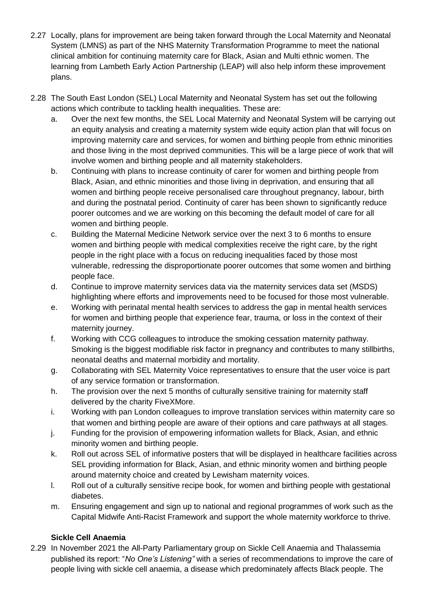- 2.27 Locally, plans for improvement are being taken forward through the Local Maternity and Neonatal System (LMNS) as part of the NHS Maternity Transformation Programme to meet the national clinical ambition for continuing maternity care for Black, Asian and Multi ethnic women. The learning from Lambeth Early Action Partnership (LEAP) will also help inform these improvement plans.
- 2.28 The South East London (SEL) Local Maternity and Neonatal System has set out the following actions which contribute to tackling health inequalities. These are:
	- a. Over the next few months, the SEL Local Maternity and Neonatal System will be carrying out an equity analysis and creating a maternity system wide equity action plan that will focus on improving maternity care and services, for women and birthing people from ethnic minorities and those living in the most deprived communities. This will be a large piece of work that will involve women and birthing people and all maternity stakeholders.
	- b. Continuing with plans to increase continuity of carer for women and birthing people from Black, Asian, and ethnic minorities and those living in deprivation, and ensuring that all women and birthing people receive personalised care throughout pregnancy, labour, birth and during the postnatal period. Continuity of carer has been shown to significantly reduce poorer outcomes and we are working on this becoming the default model of care for all women and birthing people.
	- c. Building the Maternal Medicine Network service over the next 3 to 6 months to ensure women and birthing people with medical complexities receive the right care, by the right people in the right place with a focus on reducing inequalities faced by those most vulnerable, redressing the disproportionate poorer outcomes that some women and birthing people face.
	- d. Continue to improve maternity services data via the maternity services data set (MSDS) highlighting where efforts and improvements need to be focused for those most vulnerable.
	- e. Working with perinatal mental health services to address the gap in mental health services for women and birthing people that experience fear, trauma, or loss in the context of their maternity journey.
	- f. Working with CCG colleagues to introduce the smoking cessation maternity pathway. Smoking is the biggest modifiable risk factor in pregnancy and contributes to many stillbirths, neonatal deaths and maternal morbidity and mortality.
	- g. Collaborating with SEL Maternity Voice representatives to ensure that the user voice is part of any service formation or transformation.
	- h. The provision over the next 5 months of culturally sensitive training for maternity staff delivered by the charity FiveXMore.
	- i. Working with pan London colleagues to improve translation services within maternity care so that women and birthing people are aware of their options and care pathways at all stages.
	- j. Funding for the provision of empowering information wallets for Black, Asian, and ethnic minority women and birthing people.
	- k. Roll out across SEL of informative posters that will be displayed in healthcare facilities across SEL providing information for Black, Asian, and ethnic minority women and birthing people around maternity choice and created by Lewisham maternity voices.
	- l. Roll out of a culturally sensitive recipe book, for women and birthing people with gestational diabetes.
	- m. Ensuring engagement and sign up to national and regional programmes of work such as the Capital Midwife Anti-Racist Framework and support the whole maternity workforce to thrive.

# **Sickle Cell Anaemia**

2.29 In November 2021 the All-Party Parliamentary group on Sickle Cell Anaemia and Thalassemia published its report: "*No One's Listening"* with a series of recommendations to improve the care of people living with sickle cell anaemia, a disease which predominately affects Black people. The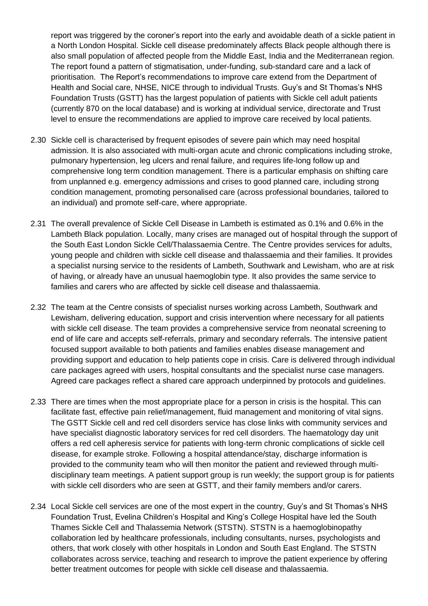report was triggered by the coroner's report into the early and avoidable death of a sickle patient in a North London Hospital. Sickle cell disease predominately affects Black people although there is also small population of affected people from the Middle East, India and the Mediterranean region. The report found a pattern of stigmatisation, under-funding, sub-standard care and a lack of prioritisation. The Report's recommendations to improve care extend from the Department of Health and Social care, NHSE, NICE through to individual Trusts. Guy's and St Thomas's NHS Foundation Trusts (GSTT) has the largest population of patients with Sickle cell adult patients (currently 870 on the local database) and is working at individual service, directorate and Trust level to ensure the recommendations are applied to improve care received by local patients.

- 2.30 Sickle cell is characterised by frequent episodes of severe pain which may need hospital admission. It is also associated with multi-organ acute and chronic complications including stroke, pulmonary hypertension, leg ulcers and renal failure, and requires life-long follow up and comprehensive long term condition management. There is a particular emphasis on shifting care from unplanned e.g. emergency admissions and crises to good planned care, including strong condition management, promoting personalised care (across professional boundaries, tailored to an individual) and promote self-care, where appropriate.
- 2.31 The overall prevalence of Sickle Cell Disease in Lambeth is estimated as 0.1% and 0.6% in the Lambeth Black population. Locally, many crises are managed out of hospital through the support of the South East London Sickle Cell/Thalassaemia Centre. The Centre provides services for adults, young people and children with sickle cell disease and thalassaemia and their families. It provides a specialist nursing service to the residents of Lambeth, Southwark and Lewisham, who are at risk of having, or already have an unusual haemoglobin type. It also provides the same service to families and carers who are affected by sickle cell disease and thalassaemia.
- 2.32 The team at the Centre consists of specialist nurses working across Lambeth, Southwark and Lewisham, delivering education, support and crisis intervention where necessary for all patients with sickle cell disease. The team provides a comprehensive service from neonatal screening to end of life care and accepts self-referrals, primary and secondary referrals. The intensive patient focused support available to both patients and families enables disease management and providing support and education to help patients cope in crisis. Care is delivered through individual care packages agreed with users, hospital consultants and the specialist nurse case managers. Agreed care packages reflect a shared care approach underpinned by protocols and guidelines.
- 2.33 There are times when the most appropriate place for a person in crisis is the hospital. This can facilitate fast, effective pain relief/management, fluid management and monitoring of vital signs. The GSTT Sickle cell and red cell disorders service has close links with community services and have specialist diagnostic laboratory services for red cell disorders. The haematology day unit offers a red cell apheresis service for patients with long-term chronic complications of sickle cell disease, for example stroke. Following a hospital attendance/stay, discharge information is provided to the community team who will then monitor the patient and reviewed through multidisciplinary team meetings. A patient support group is run weekly; the support group is for patients with sickle cell disorders who are seen at GSTT, and their family members and/or carers.
- 2.34 Local Sickle cell services are one of the most expert in the country, Guy's and St Thomas's NHS Foundation Trust, Evelina Children's Hospital and King's College Hospital have led the South Thames Sickle Cell and Thalassemia Network (STSTN). STSTN is a haemoglobinopathy collaboration led by healthcare professionals, including consultants, nurses, psychologists and others, that work closely with other hospitals in London and South East England. The STSTN collaborates across service, teaching and research to improve the patient experience by offering better treatment outcomes for people with sickle cell disease and thalassaemia.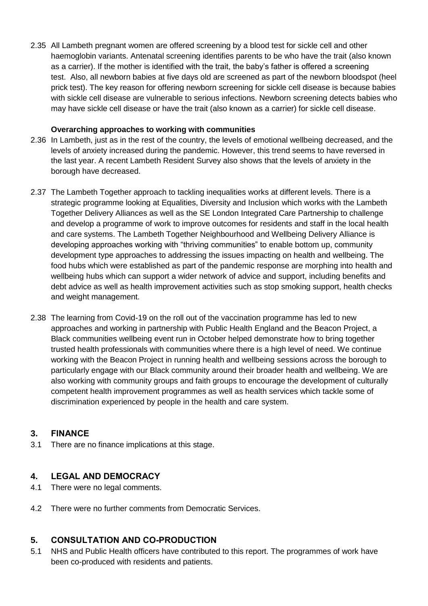2.35 All Lambeth pregnant women are offered screening by a blood test for sickle cell and other haemoglobin variants. Antenatal screening identifies parents to be who have the trait (also known as a carrier). If the mother is identified with the trait, the baby's father is offered a screening test. Also, all newborn babies at five days old are screened as part of the newborn bloodspot (heel prick test). The key reason for offering newborn screening for sickle cell disease is because babies with sickle cell disease are vulnerable to serious infections. Newborn screening detects babies who may have sickle cell disease or have the trait (also known as a carrier) for sickle cell disease.

#### **Overarching approaches to working with communities**

- 2.36 In Lambeth, just as in the rest of the country, the levels of emotional wellbeing decreased, and the levels of anxiety increased during the pandemic. However, this trend seems to have reversed in the last year. A recent Lambeth Resident Survey also shows that the levels of anxiety in the borough have decreased.
- 2.37 The Lambeth Together approach to tackling inequalities works at different levels. There is a strategic programme looking at Equalities, Diversity and Inclusion which works with the Lambeth Together Delivery Alliances as well as the SE London Integrated Care Partnership to challenge and develop a programme of work to improve outcomes for residents and staff in the local health and care systems. The Lambeth Together Neighbourhood and Wellbeing Delivery Alliance is developing approaches working with "thriving communities" to enable bottom up, community development type approaches to addressing the issues impacting on health and wellbeing. The food hubs which were established as part of the pandemic response are morphing into health and wellbeing hubs which can support a wider network of advice and support, including benefits and debt advice as well as health improvement activities such as stop smoking support, health checks and weight management.
- 2.38 The learning from Covid-19 on the roll out of the vaccination programme has led to new approaches and working in partnership with Public Health England and the Beacon Project, a Black communities wellbeing event run in October helped demonstrate how to bring together trusted health professionals with communities where there is a high level of need. We continue working with the Beacon Project in running health and wellbeing sessions across the borough to particularly engage with our Black community around their broader health and wellbeing. We are also working with community groups and faith groups to encourage the development of culturally competent health improvement programmes as well as health services which tackle some of discrimination experienced by people in the health and care system.

# **3. FINANCE**

3.1 There are no finance implications at this stage.

# **4. LEGAL AND DEMOCRACY**

- 4.1 There were no legal comments.
- 4.2 There were no further comments from Democratic Services.

# **5. CONSULTATION AND CO-PRODUCTION**

5.1 NHS and Public Health officers have contributed to this report. The programmes of work have been co-produced with residents and patients.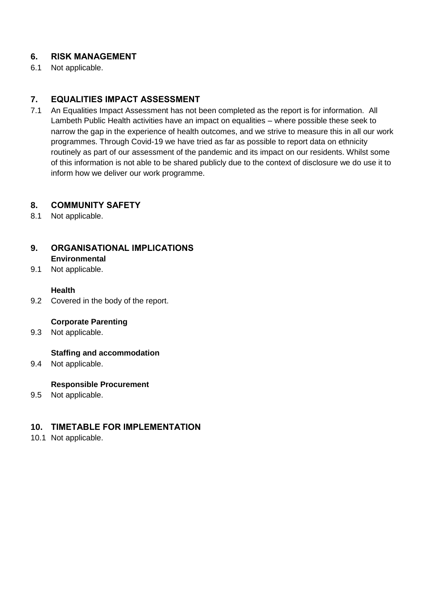# **6. RISK MANAGEMENT**

6.1 Not applicable.

# **7. EQUALITIES IMPACT ASSESSMENT**

7.1 An Equalities Impact Assessment has not been completed as the report is for information. All Lambeth Public Health activities have an impact on equalities – where possible these seek to narrow the gap in the experience of health outcomes, and we strive to measure this in all our work programmes. Through Covid-19 we have tried as far as possible to report data on ethnicity routinely as part of our assessment of the pandemic and its impact on our residents. Whilst some of this information is not able to be shared publicly due to the context of disclosure we do use it to inform how we deliver our work programme.

# **8. COMMUNITY SAFETY**

8.1 Not applicable.

#### **9. ORGANISATIONAL IMPLICATIONS Environmental**

9.1 Not applicable.

#### **Health**

9.2 Covered in the body of the report.

#### **Corporate Parenting**

9.3 Not applicable.

# **Staffing and accommodation**

9.4 Not applicable.

#### **Responsible Procurement**

9.5 Not applicable.

# **10. TIMETABLE FOR IMPLEMENTATION**

10.1 Not applicable.